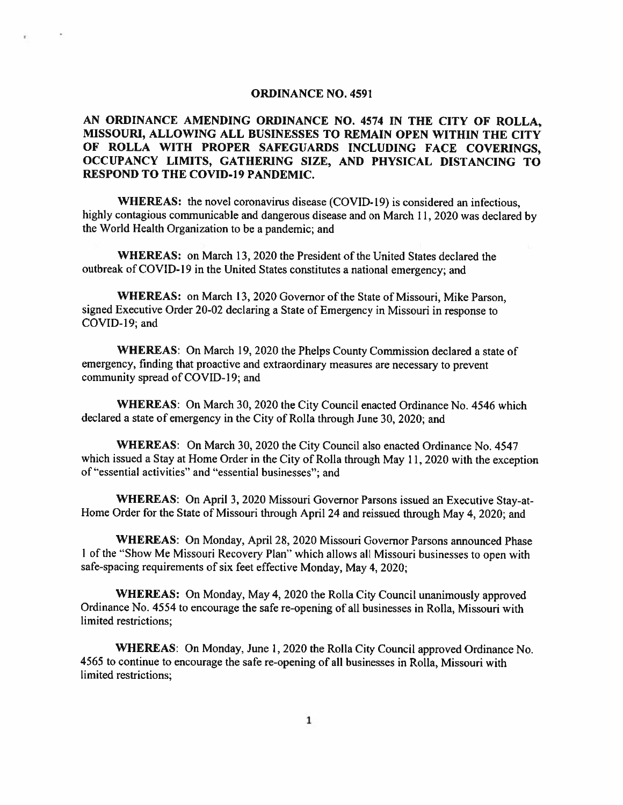#### ORDINANCE NO. 4591

# AN ORDINANCE AMENDING ORDINANCE NO. 4574 IN THE CITY OF ROLLA, MISSOURI, ALLOWING ALL BUSINESSES TO REMAIN OPEN WITHIN THE CITY OF ROLLA WITH PROPER SAFEGUARDS INCLUDING FACE COVERINGS, OCCUPANCY LIMITS, GATHERING SIZE, AND PHYSICAL DISTANCING TO RESPOND TO THE COVID-19 PANDEMIC.

WHEREAS: the novel coronavirus disease (COVID-19) is considered an infectious, highly contagious communicable and dangerous disease and on March 11, <sup>2020</sup> was declared by the World Health Organization to be <sup>a</sup> pandemic; and

WHEREAS: on March 13, 2020 the President of the United States declared the outbreak of COVID-l9 in the United States constitutes <sup>a</sup> national emergency: and

WHEREAS: on March 13. 2020 Governor of the State of Missouri, Mike Parson, signed Executive Order 20-02 declaring <sup>a</sup> State of Emergency in Missouri in response to COVID-19; and

WHEREAS: On March 19, 2020 the Phelps County Commission declared a state of emergency, finding that proactive and extraordinary measures are necessary to preven<sup>t</sup> community spread of COVID-19; and

WHEREAS: On March 30, 2020 the City Council enacted Ordinance No. 4546 which declared <sup>a</sup> state of emergency in the City of Rolla through June 30, 2020; and

WHEREAS: On March 30. 2020 the City Council also enacted Ordinance No. 4547 which issued <sup>a</sup> Stay at Home Order in the City of Rolla through May 11, <sup>2020</sup> with the exception of "essential activities" and "essential businesses"; and

WHEREAS: On April 3, <sup>2020</sup> Missouri Governor Parsons issued an Executive Stay-at-Home Order for the State of Missouri through April 24 and reissued through May 4, 2020; and

WHEREAS: On Monday, April 28. 2020 Missouri Governor Parsons announced Phase <sup>I</sup> of the "Show Me Missouri Recovery Plan' which allows all Missouri businesses to open with safe-spacing requirements of six feet effective Monday, May 4, 2020;

WHEREAS: On Monday, May 4, <sup>2020</sup> the Rolla City Council unanimously approve<sup>d</sup> Ordinance No. 4554 to encourage the safe re-opening of all businesses in Rolla, Missouri with limited restrictions;

WHEREAS: On Monday, June 1, <sup>2020</sup> the Rolla City Council approve<sup>d</sup> Ordinance No. 4565 to continue to encourage the safe re-opening of all businesses in Rolla, Missouri with limited restrictions: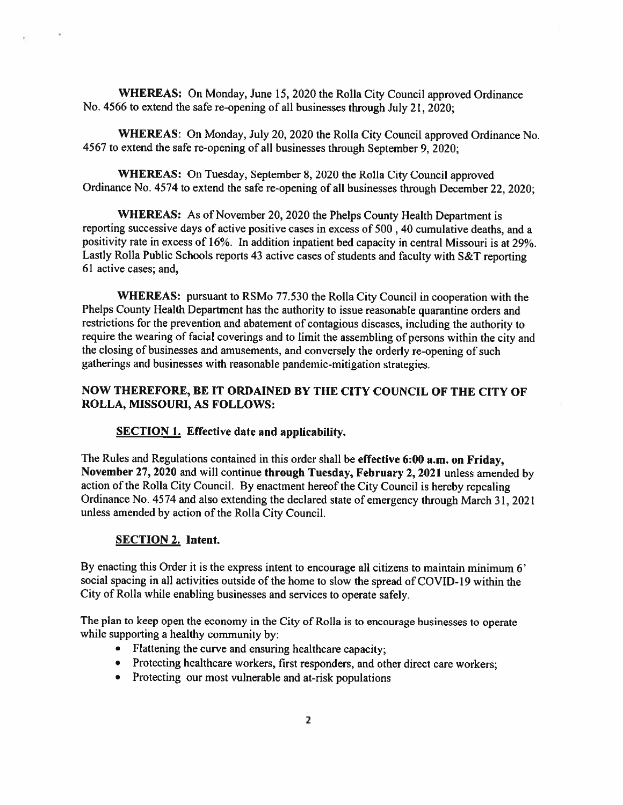WHEREAS: On Monday, June 15. <sup>2020</sup> the Rolla City Council approve<sup>d</sup> Ordinance No. <sup>4566</sup> to extend the safe re-opening of all businesses through July 21, 2020;

WHEREAS: On Monday, July 20, <sup>2020</sup> the Rolla City Council approve<sup>d</sup> Ordinance No. <sup>4567</sup> to extend the safe re-opening of all businesses through September 9, 2020;

WHEREAS: On Tuesday, September 8, <sup>2020</sup> the Rolla City Council approve<sup>d</sup> Ordinance No. <sup>4574</sup> to extend the safe re-opening of all businesses through December 22, 2020;

WHEREAS: As of November 20, <sup>2020</sup> the Phelps County Health Department is reporting successive days of active positive cases in excess of 500,40 cumulative deaths, and <sup>a</sup> positivity rate in excess of 16%. In addition inpatient bed capacity in central Missouri is at 29%. Lastly Rolla Public Schools reports <sup>43</sup> active cases of students and faculty with S&T reporting 61 active cases: and,

WHEREAS: pursuan<sup>t</sup> to RSMo 77.530 the Rolla City Council in cooperation with the Phelps County Health Department has the authority to issue reasonable quarantine orders and restrictions for the prevention and abatement of contagious diseases, including the authority to require the wearing of facial coverings and to limit the assembling of persons within the city and the closing of businesses and amusements, and conversely the orderly re-opening of such gatherings and businesses with reasonable pandemic-mitigation strategies.

# NOW THEREFORE, BE IT ORDAINED BY THE CITY COUNCIL OF THE CITY OF ROLLA, MISSOURI, AS FOLLOWS:

### SECTION 1. Effective date and applicability.

The Rules and Regulations contained in this order shall be effective 6:00 a.m. on Friday, November 27, <sup>2020</sup> and will continue through Tuesday, February 2, <sup>2021</sup> unless amended by action of the Rolla City Council. By enactment hereof the City Council is hereby repealing Ordinance No. <sup>4574</sup> and also extending the declared state of emergency through March 31, <sup>2021</sup> unless amended by action of the Rolla City Council.

### SECTION 2. Intent.

 $\mathbf{z}$ 

ŵ.

By enacting this Order it is the express intent to encourage all citizens to maintain minimum 6' social spacing in all activities outside of the home to slow the sprea<sup>d</sup> of COVID-19 within the City of Rolla while enabling businesses and services to operate safely.

The <sup>p</sup>lan to keep open the economy in the City of Rolla is to encourage businesses to operate while supporting <sup>a</sup> healthy community by:

- Flattening the curve and ensuring healthcare capacity
- Protecting healthcare workers, first responders, and other direct care workers;
- Protecting our most vulnerable and at-risk populations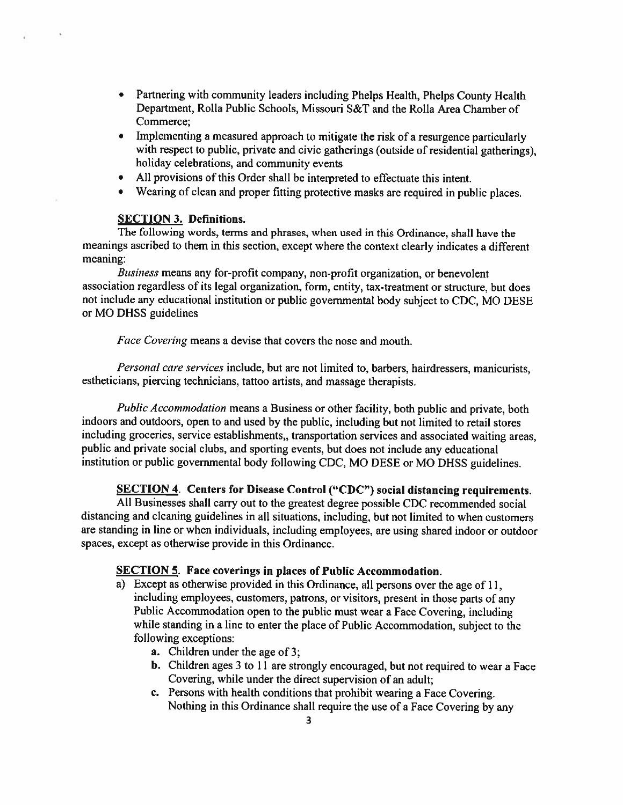- Partnering with community leaders including Phelps Health, Phelps County Health Department. Rolla Public Schools, Missouri S&T and the Rolla Area Chamber of Commerce;
- Implementing <sup>a</sup> measured approac<sup>h</sup> to mitigate the risk of <sup>a</sup> resurgence particularly with respec<sup>t</sup> to public, private and civic gatherings (outside of residential gatherings), holiday celebrations, and community events
- All provisions of this Order shall be interpreted to effectuate this intent.
- Wearing of clean and proper fitting protective masks are required in public places.

### SECTION 3. Definitions.

 $\ddot{\phantom{1}}$ 

The following words, terms and phrases. when used in this Ordinance, shall have the meanings ascribed to them in this section, excep<sup>t</sup> where the context clearly indicates <sup>a</sup> different meaning:

Business means any for-profit company, non-profit organization. or benevolent association regardless of its legal organization, form, entity, tax-treatment or structure, but does not include any educational institution or public governmental body subject to CDC. MO DESE or MO DHSS guidelines

Face Covering means <sup>a</sup> devise that covers the nose and mouth.

Personal care services include, but are not limited to, barbers, hairdressers, manicurists, estheticians, <sup>p</sup>iercing technicians, tattoo artists, and massage therapists.

Public Accommodation means <sup>a</sup> Business or other facility, both public and private, both indoors and outdoors, open to and used by the public, including but not limited to retail stores including groceries, service establishments,, transportation services and associated waiting areas, public and private social clubs, and sporting events, but does not include any educational institution or public governmental body following CDC. MO DESE or MO DHSS guidelines.

### SECTION 4. Centers for Disease Control ("CDC") social distancing requirements.

All Businesses shall carry out to the greatest degree possible CDC recommended social distancing and cleaning guidelines in all situations, including, but not limited to when customers are standing in line or when individuals, including employees, are using shared indoor or outdoor spaces, excep<sup>t</sup> as otherwise provide in this Ordinance.

#### SECTION 5. Face coverings in places of Public Accommodation.

- a) Except as otherwise provided in this Ordinance, all persons over the age of 11, including employees, customers, patrons, or visitors, presen<sup>t</sup> in those parts of any Public Accommodation open to the public must wear a Face Covering, including while standing in <sup>a</sup> line to enter the <sup>p</sup>lace of Public Accommodation, subject to the following exceptions:
	- a. Children under the age of 3;
	- b. Children ages <sup>3</sup> to <sup>11</sup> are strongly encouraged, but not required to wear <sup>a</sup> Face Covering, while under the direct supervision of an adult;
	- c. Persons with health conditions that prohibit wearing <sup>a</sup> Face Covering. Nothing in this Ordinance shall require the use of <sup>a</sup> Face Covering by any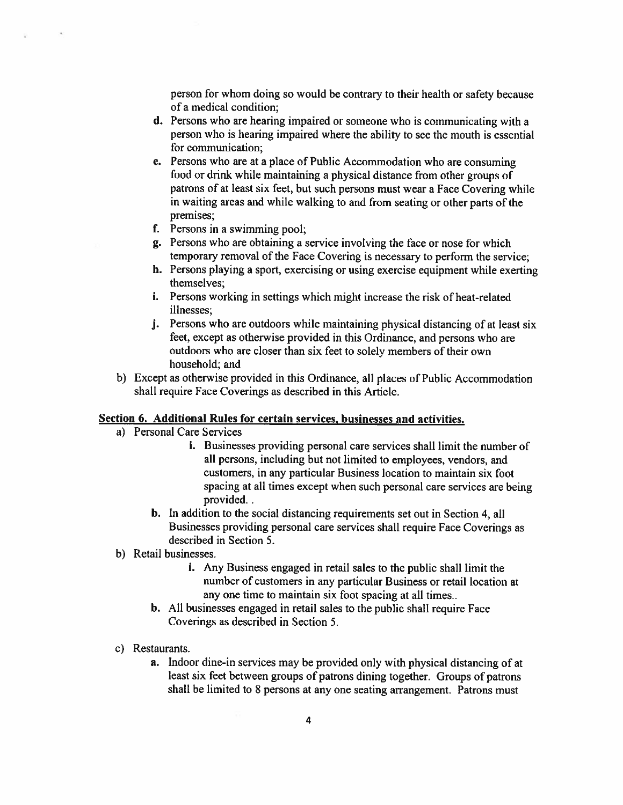person for whom doing so would be contrary to their health or safety because of <sup>a</sup> medical condition;

- d. Persons who are hearing impaired or someone who is communicating with <sup>a</sup> person who is hearing impaired where the ability to see the mouth is essential for communication;
- e. Persons who are at <sup>a</sup> place of Public Accommodation who are consuming food or drink while maintaining <sup>a</sup> <sup>p</sup>hysical distance from other groups of patrons of at least six feet, but such persons must wear <sup>a</sup> Face Covering while in waiting areas and while walking to and from seating or other parts of the premises;
- f. Persons in <sup>a</sup> swimming pool;
- g. Persons who are obtaining <sup>a</sup> service involving the face or nose for which temporary removal of the Face Covering is necessary to perform the service;
- h. Persons <sup>p</sup>laying <sup>a</sup> sport. exercising or using exercise equipment while exerting themselves;
- i. Persons working in settings which might increase the risk of heat-related illnesses;
- j. Persons who are outdoors while maintaining physical distancing of at least six feet, excep<sup>t</sup> as otherwise provided in this Ordinance, and persons who are outdoors who are closer than six feet to solely members of their own household; and
- b) Except as otherwise provided in this Ordinance, all places of Public Accommodation shall require Face Coverings as described in this Article.

### Section 6. Additional Rules for certain services, businesses and activities.

a) Personal Care Services

 $\mathcal{A}$ 

- i. Businesses providing personal care services shall limit the number of all persons. including but not limited to employees, vendors, and customers, in any particular Business location to maintain six foot spacing at all times excep<sup>t</sup> when such persona<sup>l</sup> care services are being provided..
- b. In addition to the social distancing requirements set out in Section 4. all Businesses providing persona<sup>l</sup> care services shall require Face Coverings as described in Section 5.
- b) Retail businesses.
	- i. Any Business engaged in retail sales to the public shall limit the number of customers in any particular Business or retail location at any one time to maintain six foot spacing at all times..
	- b. All businesses engaged in retail sales to the public shall require Face Coverings as described in Section 5.
- c) Restaurants.
	- a. Indoor dine-in services may be provided only with <sup>p</sup>hysical distancing of at least six feet between groups of patrons dining together. Groups of patrons shall be limited to 8 persons at any one seating arrangement. Patrons must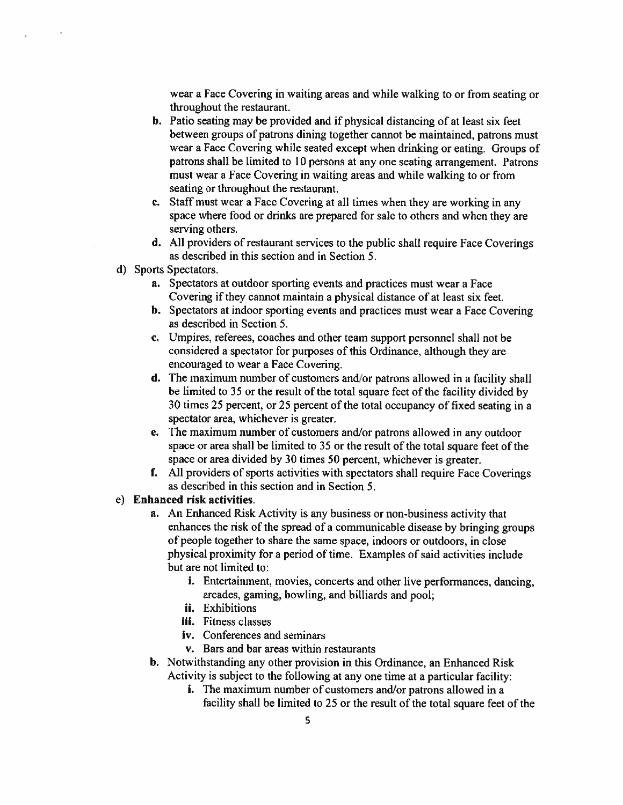wear <sup>a</sup> Face Covering in waiting areas and while walking to or from seating or throughout the restaurant.

- b. Patio seating may be provided and if <sup>p</sup>hysical distancing of at least six feet between groups of patrons dining together cannot be maintained, patrons must wear <sup>a</sup> Face Covering while seated excep<sup>t</sup> when drinking or eating. Groups of patrons shall be limited to 10 persons at any one seating arrangement. Patrons must wear <sup>a</sup> Face Covering in waiting areas and while walking to or from seating or throughout the restaurant.
- c. Staff must wear <sup>a</sup> Face Covering at all times when they are working in any space where food or drinks are prepared for sale to others and when they are serving others.
- d. All providers of restaurant services to the public shall require Face Coverings as described in this section and in Section 5.
- d) Sports Spectators.
	- a. Spectators at outdoor sporting events and practices must wear <sup>a</sup> Face Covering if they cannot maintain <sup>a</sup> physical distance of at least six feet.
	- b. Spectators at indoor sporting events and practices must wear <sup>a</sup> Face Covering as described in Section 5.
	- c. Umpires, referees, coaches and other team suppor<sup>t</sup> personnel shall not be considered <sup>a</sup> spectator for purposes of this Ordinance, although they are encouraged to wear <sup>a</sup> Face Covering.
	- d. The maximum number of customers and/or patrons allowed in <sup>a</sup> facility shall be limited to <sup>35</sup> or the result of the total square feet of the facility divided by 30 times 25 percent, or 25 percen<sup>t</sup> of the total occupancy of fixed seating in <sup>a</sup> spectator area, whichever is greater.
	- e. The maximum number of customers and/or patrons allowed in any outdoor space or area shall be limited to 35 or the result of the total square feet of the space or area divided by 30 times 50 percent, whichever is greater.
	- f. All providers of sports activities with spectators shall require Face Coverings as described in this section and in Section 5.

## e) Enhanced risk activities.

- a. An Enhanced Risk Activity is any business or non-business activity that enhances the risk of the spread of a communicable disease by bringing groups of people together to share the same space, indoors or outdoors, in close physical proximity for a period of time. Examples of said activities include but are not limited to:
	- i. Entertainment, movies, concerts and other live performances, dancing, arcades, gaming, bowling, and billiards and pool;
	- ii. Exhibitions
	- iii. Fitness classes
	- iv. Conferences and seminars
	- v. Bars and bar areas within restaurants
- b. Notwithstanding any other provision in this Ordinance, an Enhanced Risk Activity is subject to the following at any one time at <sup>a</sup> particular facility:
	- i. The maximum number of customers and/or patrons allowed in a facility shall be limited to 25 or the result of the total square feet of the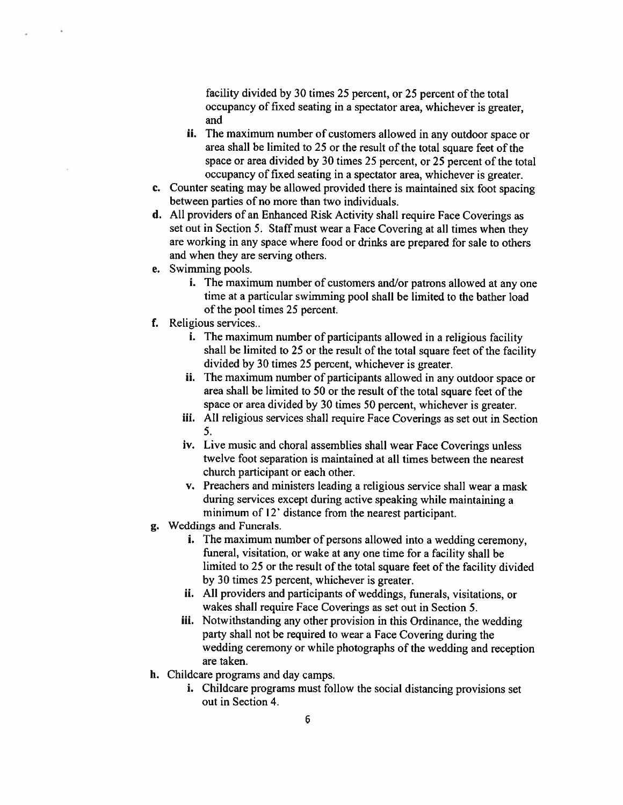facility divided by 30 times 25 percent, or 25 percen<sup>t</sup> of the total occupancy of fixed seating in <sup>a</sup> spectator area, whichever is greater, and

- ii. The maximum number of customers allowed in any outdoor space or area shall be limited to 25 or the result of the total square feet of the space or area divided by 30 times 25 percent, or 25 percen<sup>t</sup> of the total occupancy of fixed seating in <sup>a</sup> spectator area, whichever is greater.
- c. Counter seating may be allowed provided there is maintained six foot spacing between parties of no more than two individuals.
- d. All providers of an Enhanced Risk Activity shall require Face Coverings as set out in Section 5. Staff must wear <sup>a</sup> Face Covering at all times when they are working in any space where food or drinks are prepared for sale to others and when they are serving others.
- e. Swimming pools.
	- i. The maximum number of customers and/or patrons allowed at any one time at <sup>a</sup> particular swimming pool shall be limited to the bather load of the pool times 25 percent.
- f. Religious services..
	- i. The maximum number of participants allowed in <sup>a</sup> religious facility shall be limited to <sup>25</sup> or the result of the total square feet of the facility divided by 30 times 25 percent, whichever is greater.
	- ii. The maximum number of participants allowed in any outdoor space or area shall be limited to 50 or the result of the total square feet of the space or area divided by 30 times 50 percent, whichever is greater.
	- iii. All religious services shall require Face Coverings as set out in Section 5.
	- iv. Live music and choral assemblies shall wear Face Coverings unless twelve foot separation is maintained at all times between the nearest church participant or each other.
	- v. Preachers and ministers leading <sup>a</sup> religious service shall wear <sup>a</sup> mask during services excep<sup>t</sup> during active speaking while maintaining <sup>a</sup> minimum of 12' distance from the nearest participant.
- g. Weddings and Funerals.
	- i. The maximum number of persons allowed into a wedding ceremony, funeral, visitation, or wake at any one time for <sup>a</sup> facility shall be limited to 25 or the result of the total square feet of the facility divided by 30 times 25 percent, whichever is greater.
	- ii. All providers and participants of weddings, funerals, visitations, or wakes shall require Face Coverings as set out in Section 5.
	- iii. Notwithstanding any other provision in this Ordinance, the wedding party shall not be required to wear <sup>a</sup> Face Covering during the wedding ceremony or while <sup>p</sup>hotographs of the wedding and reception are taken.
- h. Childcare programs and day camps.
	- i. Childcare programs must follow the social distancing provisions set out in Section 4.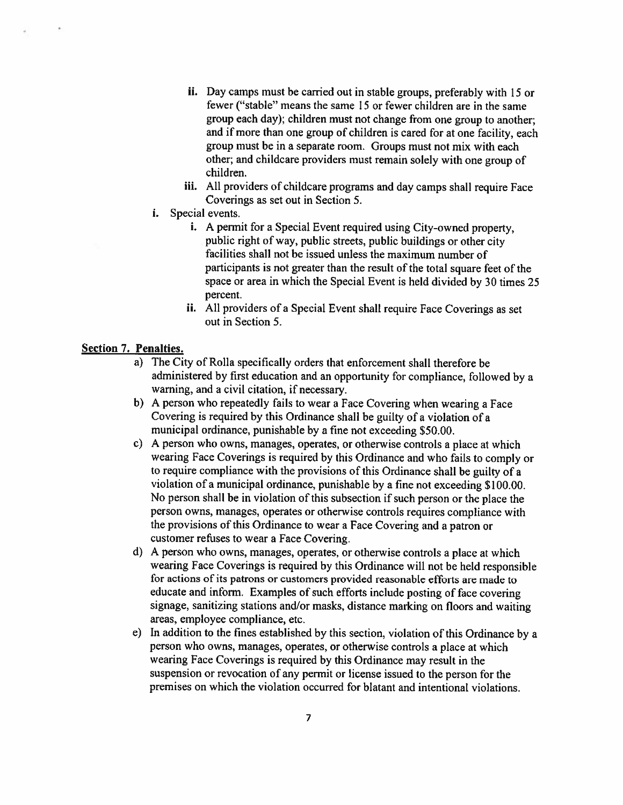- ii. Day camps must be carried out in stable groups, preferably with <sup>15</sup> or fewer ("stable" means the same 15 or fewer children are in the same group each day); children must not change from one group to another; and if more than one group of children is cared for at one facility, each group must be in <sup>a</sup> separate room, Groups must not mix with each other; and childcare providers must remain solely with one group of children.
- iii. All providers of childcare programs and day camps shall require Face Coverings as set out in Section 5.
- i. Special events.
	- i. A permit for a Special Event required using City-owned property, public right of way, public streets. public buildings or other city facilities shall not be issued unless the maximum number of participants is not greater than the result of the total square feet of the space or area in which the Special Event is held divided by 30 times <sup>25</sup> percent.
	- ii. All providers of <sup>a</sup> Special Event shall require Face Coverings as set out in Section 5.

### Section 7. Penalties.

- a) The City of Rolla specifically orders that enforcement shall therefore be administered by first education and an opportunity for compliance, followed by <sup>a</sup> warning, and <sup>a</sup> civil citation, if necessary.
- b) <sup>A</sup> person who repeatedly fails to wear <sup>a</sup> Face Covering when wearing <sup>a</sup> Face Covering is required by this Ordinance shall be guilty of <sup>a</sup> violation of <sup>a</sup> municipal ordinance, punishable by <sup>a</sup> fine not exceeding \$50.00.
- c) <sup>A</sup> person who owns, manages, operates, or otherwise controls <sup>a</sup> <sup>p</sup>lace at which wearing Face Coverings is required by this Ordinance and who fails to comply or to require compliance with the provisions of this Ordinance shall be guilty of <sup>a</sup> violation of <sup>a</sup> municipal ordinance, punishable by <sup>a</sup> fine not exceeding \$100.00. No person shall be in violation of this subsection if such person or the <sup>p</sup>lace the person owns, manages, operates or otherwise controls requires compliance with the provisions of this Ordinance to wear <sup>a</sup> Face Covering and <sup>a</sup> patron or customer refuses to wear <sup>a</sup> Face Covering.
- d) <sup>A</sup> person who owns, manages, operates, or otherwise controls <sup>a</sup> <sup>p</sup>lace at which wearing Face Coverings is required by this Ordinance will not be held responsible for actions of its patrons or customers provided reasonable efforis are made to educate and inform. Examples of such efforts include posting of face covering signage, sanitizing stations and/or masks, distance marking on floors and waiting areas, employee compliance, etc.
- e) In addition to the fines established by this section, violation of this Ordinance by <sup>a</sup> person who owns, manages, operates, or otherwise controls <sup>a</sup> <sup>p</sup>lace at which wearing Face Coverings is required by this Ordinance may result in the suspension or revocation of any permit or license issued to the person for the premises on which the violation occurred for blatant and intentional violations.